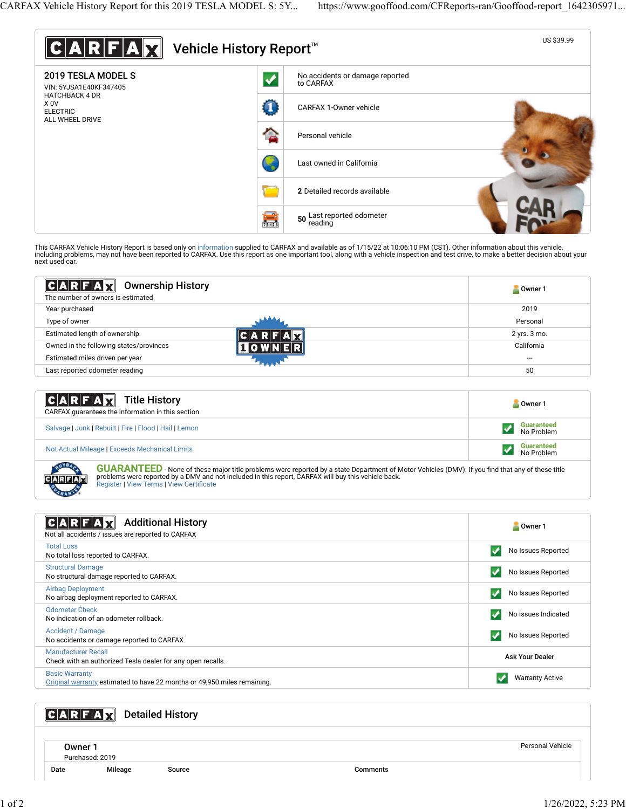

| $ C A R F A \chi $<br><b>Ownership History</b><br>The number of owners is estimated | Owner 1      |
|-------------------------------------------------------------------------------------|--------------|
| Year purchased                                                                      | 2019         |
| Type of owner                                                                       | Personal     |
| Estimated length of ownership                                                       | 2 yrs. 3 mo. |
| Owned in the following states/provinces                                             | California   |
| Estimated miles driven per year                                                     | ---          |
| Last reported odometer reading                                                      | 50           |

| $ C A R F A \overline{X}$ Title History<br>CARFAX quarantees the information in this section | Owner 1                         |
|----------------------------------------------------------------------------------------------|---------------------------------|
| Salvage   Junk   Rebuilt   Fire   Flood   Hail   Lemon                                       | <b>Guaranteed</b><br>No Problem |
| Not Actual Mileage   Exceeds Mechanical Limits                                               | <b>Guaranteed</b><br>No Problem |

GUARANTEED - None of these major title problems were reported by a state Department of Motor Vehicles (DMV). If you find that any of these title problems were reported by a DMV and not included in this report, CARFAX will buy this vehicle back.<br>[Register](https://www.carfax.com/Service/bbg) | [View Terms](http://www.carfaxonline.com/legal/bbgTerms) | [View Certi](https://www.gooffood.com/CFReports-ran/Gooffood-report_1642305971.html)ficate

| <b>Additional History</b><br>Not all accidents / issues are reported to CARFAX                    | Owner 1                |
|---------------------------------------------------------------------------------------------------|------------------------|
| <b>Total Loss</b><br>No total loss reported to CARFAX.                                            | No Issues Reported     |
| <b>Structural Damage</b><br>No structural damage reported to CARFAX.                              | No Issues Reported     |
| <b>Airbag Deployment</b><br>No airbag deployment reported to CARFAX.                              | No Issues Reported     |
| <b>Odometer Check</b><br>No indication of an odometer rollback.                                   | No Issues Indicated    |
| <b>Accident / Damage</b><br>No accidents or damage reported to CARFAX.                            | No Issues Reported     |
| <b>Manufacturer Recall</b><br>Check with an authorized Tesla dealer for any open recalls.         | <b>Ask Your Dealer</b> |
| <b>Basic Warranty</b><br>Original warranty estimated to have 22 months or 49,950 miles remaining. | <b>Warranty Active</b> |

## **CARFAX** Detailed History

Owner 1 Purchased: 2019

Date Mileage Source Comments

Personal Vehicle